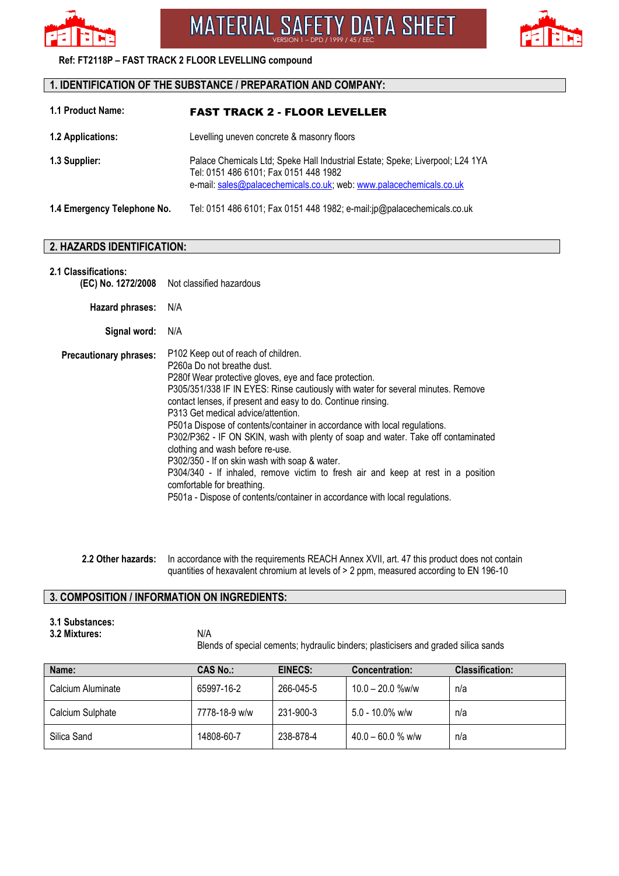

VERSION 1 – DPD / 1999 / 45 / EEC



## **Ref: FT2118P – FAST TRACK 2 FLOOR LEVELLING compound**

## **1. IDENTIFICATION OF THE SUBSTANCE / PREPARATION AND COMPANY:**

| 1.1 Product Name:           | <b>FAST TRACK 2 - FLOOR LEVELLER</b>                                                                                                                                                          |  |
|-----------------------------|-----------------------------------------------------------------------------------------------------------------------------------------------------------------------------------------------|--|
| <b>1.2 Applications:</b>    | Levelling uneven concrete & masonry floors                                                                                                                                                    |  |
| 1.3 Supplier:               | Palace Chemicals Ltd; Speke Hall Industrial Estate; Speke; Liverpool; L24 1YA<br>Tel: 0151 486 6101; Fax 0151 448 1982<br>e-mail: sales@palacechemicals.co.uk; web: www.palacechemicals.co.uk |  |
| 1.4 Emergency Telephone No. | Tel: 0151 486 6101; Fax 0151 448 1982; e-mail:jp@palacechemicals.co.uk                                                                                                                        |  |

## **2. HAZARDS IDENTIFICATION:**

| <b>2.1 Classifications:</b> |
|-----------------------------|
|                             |

|                               | (EC) No. 1272/2008 Not classified hazardous                                                                                                                                                                                                                                                                                                                                                                                                                                                                                                                                                                                                                                                                                                                                               |
|-------------------------------|-------------------------------------------------------------------------------------------------------------------------------------------------------------------------------------------------------------------------------------------------------------------------------------------------------------------------------------------------------------------------------------------------------------------------------------------------------------------------------------------------------------------------------------------------------------------------------------------------------------------------------------------------------------------------------------------------------------------------------------------------------------------------------------------|
| Hazard phrases: N/A           |                                                                                                                                                                                                                                                                                                                                                                                                                                                                                                                                                                                                                                                                                                                                                                                           |
| Signal word: N/A              |                                                                                                                                                                                                                                                                                                                                                                                                                                                                                                                                                                                                                                                                                                                                                                                           |
| <b>Precautionary phrases:</b> | P <sub>102</sub> Keep out of reach of children.<br>P260a Do not breathe dust.<br>P280f Wear protective gloves, eye and face protection.<br>P305/351/338 IF IN EYES: Rinse cautiously with water for several minutes. Remove<br>contact lenses, if present and easy to do. Continue rinsing.<br>P313 Get medical advice/attention.<br>P501a Dispose of contents/container in accordance with local regulations.<br>P302/P362 - IF ON SKIN, wash with plenty of soap and water. Take off contaminated<br>clothing and wash before re-use.<br>P302/350 - If on skin wash with soap & water.<br>P304/340 - If inhaled, remove victim to fresh air and keep at rest in a position<br>comfortable for breathing.<br>P501a - Dispose of contents/container in accordance with local regulations. |

**2.2 Other hazards:** In accordance with the requirements REACH Annex XVII, art. 47 this product does not contain quantities of hexavalent chromium at levels of > 2 ppm, measured according to EN 196-10

## **3. COMPOSITION / INFORMATION ON INGREDIENTS:**

- **3.1 Substances:**
- **3.2 Mixtures:**

N/A Blends of special cements; hydraulic binders; plasticisers and graded silica sands

| Name:             | <b>CAS No.:</b> | EINECS:   | <b>Concentration:</b> | <b>Classification:</b> |
|-------------------|-----------------|-----------|-----------------------|------------------------|
| Calcium Aluminate | 65997-16-2      | 266-045-5 | $10.0 - 20.0$ %w/w    | n/a                    |
| Calcium Sulphate  | 7778-18-9 w/w   | 231-900-3 | $5.0 - 10.0\%$ w/w    | n/a                    |
| Silica Sand       | 14808-60-7      | 238-878-4 | $40.0 - 60.0$ % w/w   | n/a                    |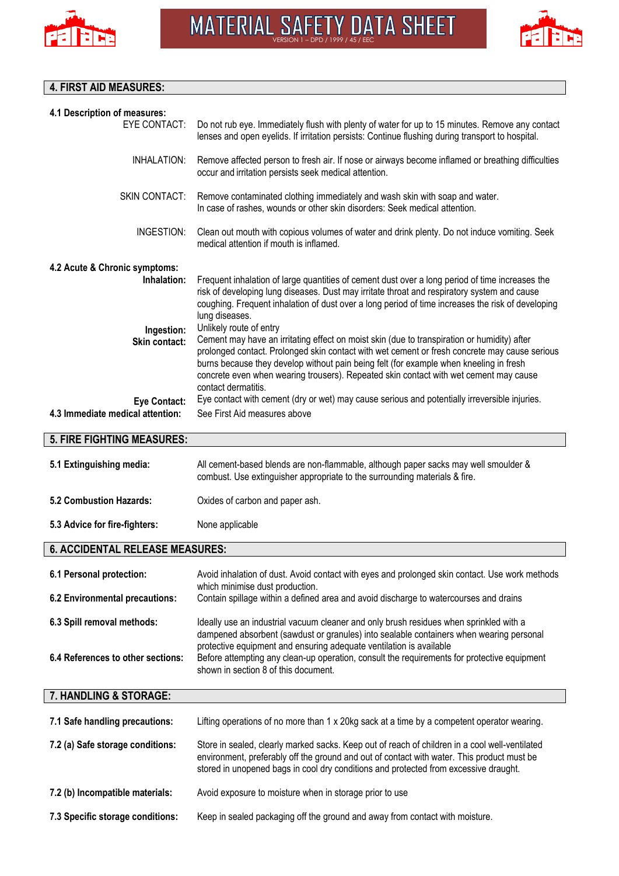



# **4. FIRST AID MEASURES:**

| 4.1 Description of measures:                            |                                                                                                                                                                                                                                                                                                                                                                                                                                   |
|---------------------------------------------------------|-----------------------------------------------------------------------------------------------------------------------------------------------------------------------------------------------------------------------------------------------------------------------------------------------------------------------------------------------------------------------------------------------------------------------------------|
| <b>EYE CONTACT:</b>                                     | Do not rub eye. Immediately flush with plenty of water for up to 15 minutes. Remove any contact<br>lenses and open eyelids. If irritation persists: Continue flushing during transport to hospital.                                                                                                                                                                                                                               |
| INHALATION:                                             | Remove affected person to fresh air. If nose or airways become inflamed or breathing difficulties<br>occur and irritation persists seek medical attention.                                                                                                                                                                                                                                                                        |
| SKIN CONTACT:                                           | Remove contaminated clothing immediately and wash skin with soap and water.<br>In case of rashes, wounds or other skin disorders: Seek medical attention.                                                                                                                                                                                                                                                                         |
| INGESTION:                                              | Clean out mouth with copious volumes of water and drink plenty. Do not induce vomiting. Seek<br>medical attention if mouth is inflamed.                                                                                                                                                                                                                                                                                           |
| 4.2 Acute & Chronic symptoms:<br>Inhalation:            | Frequent inhalation of large quantities of cement dust over a long period of time increases the<br>risk of developing lung diseases. Dust may irritate throat and respiratory system and cause<br>coughing. Frequent inhalation of dust over a long period of time increases the risk of developing<br>lung diseases.                                                                                                             |
| Ingestion:<br><b>Skin contact:</b>                      | Unlikely route of entry<br>Cement may have an irritating effect on moist skin (due to transpiration or humidity) after<br>prolonged contact. Prolonged skin contact with wet cement or fresh concrete may cause serious<br>burns because they develop without pain being felt (for example when kneeling in fresh<br>concrete even when wearing trousers). Repeated skin contact with wet cement may cause<br>contact dermatitis. |
| <b>Eye Contact:</b><br>4.3 Immediate medical attention: | Eye contact with cement (dry or wet) may cause serious and potentially irreversible injuries.<br>See First Aid measures above                                                                                                                                                                                                                                                                                                     |
| <b>5. FIRE FIGHTING MEASURES:</b>                       |                                                                                                                                                                                                                                                                                                                                                                                                                                   |
| 5.1 Extinguishing media:                                | All cement-based blends are non-flammable, although paper sacks may well smoulder &<br>combust. Use extinguisher appropriate to the surrounding materials & fire.                                                                                                                                                                                                                                                                 |
| 5.2 Combustion Hazards:                                 | Oxides of carbon and paper ash.                                                                                                                                                                                                                                                                                                                                                                                                   |
| 5.3 Advice for fire-fighters:                           | None applicable                                                                                                                                                                                                                                                                                                                                                                                                                   |
| <b>6. ACCIDENTAL RELEASE MEASURES:</b>                  |                                                                                                                                                                                                                                                                                                                                                                                                                                   |
| 6.1 Personal protection:                                | Avoid inhalation of dust. Avoid contact with eyes and prolonged skin contact. Use work methods<br>which minimise dust production.                                                                                                                                                                                                                                                                                                 |
| 6.2 Environmental precautions:                          | Contain spillage within a defined area and avoid discharge to watercourses and drains                                                                                                                                                                                                                                                                                                                                             |
| 6.3 Spill removal methods:                              | Ideally use an industrial vacuum cleaner and only brush residues when sprinkled with a<br>dampened absorbent (sawdust or granules) into sealable containers when wearing personal                                                                                                                                                                                                                                                 |
| 6.4 References to other sections:                       | protective equipment and ensuring adequate ventilation is available<br>Before attempting any clean-up operation, consult the requirements for protective equipment<br>shown in section 8 of this document.                                                                                                                                                                                                                        |
| 7. HANDLING & STORAGE:                                  |                                                                                                                                                                                                                                                                                                                                                                                                                                   |
| 7.1 Safe handling precautions:                          | Lifting operations of no more than 1 x 20kg sack at a time by a competent operator wearing.                                                                                                                                                                                                                                                                                                                                       |
| 7.2 (a) Safe storage conditions:                        | Store in sealed, clearly marked sacks. Keep out of reach of children in a cool well-ventilated<br>environment, preferably off the ground and out of contact with water. This product must be<br>stored in unopened bags in cool dry conditions and protected from excessive draught.                                                                                                                                              |
| 7.2 (b) Incompatible materials:                         | Avoid exposure to moisture when in storage prior to use                                                                                                                                                                                                                                                                                                                                                                           |
| 7.3 Specific storage conditions:                        | Keep in sealed packaging off the ground and away from contact with moisture.                                                                                                                                                                                                                                                                                                                                                      |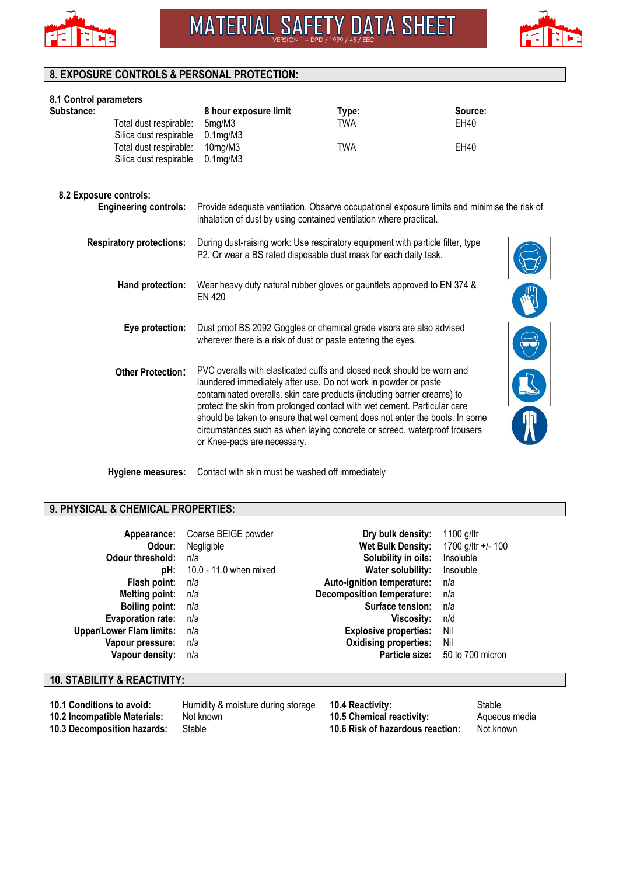



## **8. EXPOSURE CONTROLS & PERSONAL PROTECTION:**

| 8.1 Control parameters |                                 |                                                                                                                                                    |            |         |  |
|------------------------|---------------------------------|----------------------------------------------------------------------------------------------------------------------------------------------------|------------|---------|--|
| Substance:             |                                 | 8 hour exposure limit                                                                                                                              | Type:      | Source: |  |
|                        | Total dust respirable:          | 5mg/M3                                                                                                                                             | TWA        | EH40    |  |
|                        | Silica dust respirable          | $0.1$ mg/M $3$                                                                                                                                     |            |         |  |
|                        | Total dust respirable:          | 10mg/M3                                                                                                                                            | <b>TWA</b> | EH40    |  |
|                        | Silica dust respirable          | $0.1$ mg/M $3$                                                                                                                                     |            |         |  |
|                        | 8.2 Exposure controls:          |                                                                                                                                                    |            |         |  |
|                        | <b>Engineering controls:</b>    | Provide adequate ventilation. Observe occupational exposure limits and minimise the risk of                                                        |            |         |  |
|                        |                                 | inhalation of dust by using contained ventilation where practical.                                                                                 |            |         |  |
|                        | <b>Respiratory protections:</b> | During dust-raising work: Use respiratory equipment with particle filter, type<br>P2. Or wear a BS rated disposable dust mask for each daily task. |            |         |  |
|                        |                                 |                                                                                                                                                    |            |         |  |
|                        | Hand protection:                | Wear heavy duty natural rubber gloves or gauntlets approved to EN 374 &                                                                            |            |         |  |
|                        |                                 | <b>EN 420</b>                                                                                                                                      |            |         |  |
|                        | Eye protection:                 | Dust proof BS 2092 Goggles or chemical grade visors are also advised                                                                               |            |         |  |
|                        |                                 | wherever there is a risk of dust or paste entering the eyes.                                                                                       |            |         |  |
|                        |                                 |                                                                                                                                                    |            |         |  |
|                        | <b>Other Protection:</b>        | PVC overalls with elasticated cuffs and closed neck should be worn and                                                                             |            |         |  |
|                        |                                 | laundered immediately after use. Do not work in powder or paste<br>contaminated overalls. skin care products (including barrier creams) to         |            |         |  |
|                        |                                 | protect the skin from prolonged contact with wet cement. Particular care                                                                           |            |         |  |
|                        |                                 | should be taken to ensure that wet cement does not enter the boots. In some                                                                        |            |         |  |
|                        |                                 | circumstances such as when laying concrete or screed, waterproof trousers                                                                          |            |         |  |
|                        |                                 | or Knee-pads are necessary.                                                                                                                        |            |         |  |
|                        |                                 |                                                                                                                                                    |            |         |  |
|                        |                                 |                                                                                                                                                    |            |         |  |

**Hygiene measures:** Contact with skin must be washed off immediately

# **9. PHYSICAL & CHEMICAL PROPERTIES:**

| Appearance:<br>Odour:<br>Odour threshold:<br>pH: | Coarse BEIGE powder<br>Negligible<br>n/a<br>10.0 - 11.0 when mixed | Dry bulk density:<br>Wet Bulk Density:<br>Solubility in oils:<br>Water solubility: | 1100 g/ltr<br>1700 g/ltr +/- 100<br>Insoluble<br>Insoluble |
|--------------------------------------------------|--------------------------------------------------------------------|------------------------------------------------------------------------------------|------------------------------------------------------------|
| Flash point:                                     | n/a                                                                | Auto-ignition temperature:                                                         | n/a                                                        |
| <b>Melting point:</b>                            | n/a                                                                | <b>Decomposition temperature:</b>                                                  | n/a                                                        |
| <b>Boiling point:</b>                            | n/a                                                                | Surface tension:                                                                   | n/a                                                        |
| <b>Evaporation rate:</b>                         | n/a                                                                | Viscosity:                                                                         | n/d                                                        |
| <b>Upper/Lower Flam limits:</b>                  | n/a                                                                | <b>Explosive properties:</b>                                                       | Nil                                                        |
| Vapour pressure:                                 | n/a                                                                | <b>Oxidising properties:</b>                                                       | Nil                                                        |
| Vapour density:                                  | n/a                                                                | Particle size:                                                                     | 50 to 700 micron                                           |

# **10. STABILITY & REACTIVITY:**

**10.1 Conditions to avoid:** Humidity & moisture during storage **10.4 Reactivity:** Stable **10.2 Incompatible Materials:** Not known **10.5 Chemical reactivity:** Aqueor **10.2 Incompatible Materials:** Not known **10.5 Chemical reactivity:** Aqueous media **10.3 Decomposition hazards:** Stable **10.6 Risk of hazardous reaction:** Not known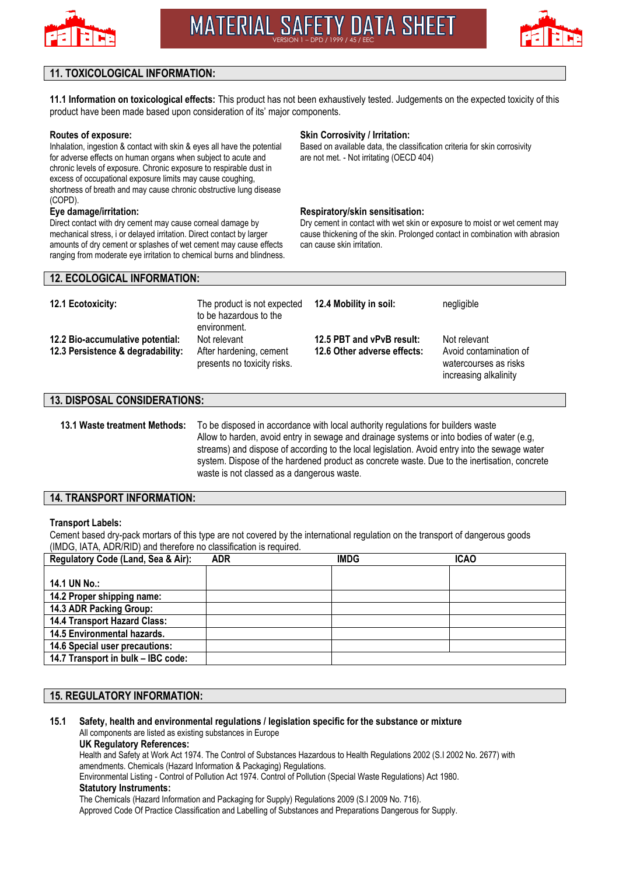



## **11. TOXICOLOGICAL INFORMATION:**

**11.1 Information on toxicological effects:** This product has not been exhaustively tested. Judgements on the expected toxicity of this product have been made based upon consideration of its' major components.

#### **Routes of exposure:**

Inhalation, ingestion & contact with skin & eyes all have the potential for adverse effects on human organs when subject to acute and chronic levels of exposure. Chronic exposure to respirable dust in excess of occupational exposure limits may cause coughing, shortness of breath and may cause chronic obstructive lung disease (COPD).

#### **Eye damage/irritation:**

Direct contact with dry cement may cause corneal damage by mechanical stress, i or delayed irritation. Direct contact by larger amounts of dry cement or splashes of wet cement may cause effects ranging from moderate eye irritation to chemical burns and blindness.

#### **Skin Corrosivity / Irritation:**

Based on available data, the classification criteria for skin corrosivity are not met. - Not irritating (OECD 404)

#### **Respiratory/skin sensitisation:**

Dry cement in contact with wet skin or exposure to moist or wet cement may cause thickening of the skin. Prolonged contact in combination with abrasion can cause skin irritation.

## **12. ECOLOGICAL INFORMATION:**

| 12.1 Ecotoxicity:                                                     | The product is not expected<br>to be hazardous to the<br>environment.  | 12.4 Mobility in soil:                                   | negligible                                                                               |
|-----------------------------------------------------------------------|------------------------------------------------------------------------|----------------------------------------------------------|------------------------------------------------------------------------------------------|
| 12.2 Bio-accumulative potential:<br>12.3 Persistence & degradability: | Not relevant<br>After hardening, cement<br>presents no toxicity risks. | 12.5 PBT and vPvB result:<br>12.6 Other adverse effects: | Not relevant<br>Avoid contamination of<br>watercourses as risks<br>increasing alkalinity |

### **13. DISPOSAL CONSIDERATIONS:**

**13.1 Waste treatment Methods:** To be disposed in accordance with local authority regulations for builders waste Allow to harden, avoid entry in sewage and drainage systems or into bodies of water (e.g, streams) and dispose of according to the local legislation. Avoid entry into the sewage water system. Dispose of the hardened product as concrete waste. Due to the inertisation, concrete waste is not classed as a dangerous waste.

#### **14. TRANSPORT INFORMATION:**

#### **Transport Labels:**

Cement based dry-pack mortars of this type are not covered by the international regulation on the transport of dangerous goods (IMDG, IATA, ADR/RID) and therefore no classification is required.

| Regulatory Code (Land, Sea & Air):  | <b>ADR</b> | <b>IMDG</b> | <b>ICAO</b> |
|-------------------------------------|------------|-------------|-------------|
|                                     |            |             |             |
| 14.1 UN No.:                        |            |             |             |
| 14.2 Proper shipping name:          |            |             |             |
| 14.3 ADR Packing Group:             |            |             |             |
| <b>14.4 Transport Hazard Class:</b> |            |             |             |
| 14.5 Environmental hazards.         |            |             |             |
| 14.6 Special user precautions:      |            |             |             |
| 14.7 Transport in bulk - IBC code:  |            |             |             |

## **15. REGULATORY INFORMATION:**

**15.1 Safety, health and environmental regulations / legislation specific for the substance or mixture** All components are listed as existing substances in Europe

#### **UK Regulatory References:**

Health and Safety at Work Act 1974. The Control of Substances Hazardous to Health Regulations 2002 (S.I 2002 No. 2677) with amendments. Chemicals (Hazard Information & Packaging) Regulations.

Environmental Listing - Control of Pollution Act 1974. Control of Pollution (Special Waste Regulations) Act 1980.

#### **Statutory Instruments:**

The Chemicals (Hazard Information and Packaging for Supply) Regulations 2009 (S.I 2009 No. 716).

Approved Code Of Practice Classification and Labelling of Substances and Preparations Dangerous for Supply.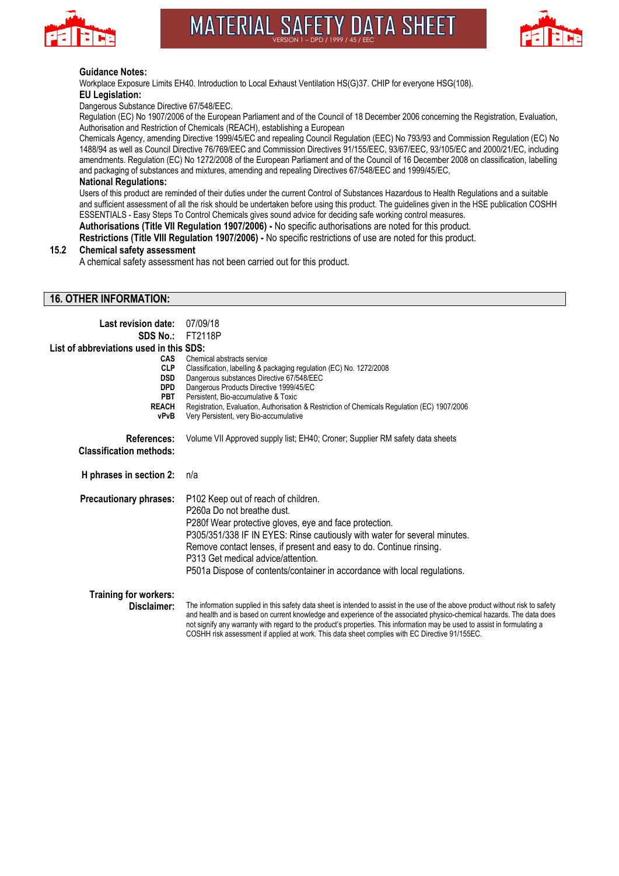

# **MATERIAL SAFETY DATA SHEET** VERSION 1 – DPD / 1999 / 45 / EEC



#### **Guidance Notes:**

Workplace Exposure Limits EH40. Introduction to Local Exhaust Ventilation HS(G)37. CHIP for everyone HSG(108). **EU Legislation:**

Dangerous Substance Directive 67/548/EEC.

Regulation (EC) No 1907/2006 of the European Parliament and of the Council of 18 December 2006 concerning the Registration, Evaluation, Authorisation and Restriction of Chemicals (REACH), establishing a European

Chemicals Agency, amending Directive 1999/45/EC and repealing Council Regulation (EEC) No 793/93 and Commission Regulation (EC) No 1488/94 as well as Council Directive 76/769/EEC and Commission Directives 91/155/EEC, 93/67/EEC, 93/105/EC and 2000/21/EC, including amendments. Regulation (EC) No 1272/2008 of the European Parliament and of the Council of 16 December 2008 on classification, labelling and packaging of substances and mixtures, amending and repealing Directives 67/548/EEC and 1999/45/EC,

#### **National Regulations:**

Users of this product are reminded of their duties under the current Control of Substances Hazardous to Health Regulations and a suitable and sufficient assessment of all the risk should be undertaken before using this product. The guidelines given in the HSE publication COSHH ESSENTIALS - Easy Steps To Control Chemicals gives sound advice for deciding safe working control measures.

**Authorisations (Title VII Regulation 1907/2006) -** No specific authorisations are noted for this product.

**Restrictions (Title VIII Regulation 1907/2006) -** No specific restrictions of use are noted for this product.

#### **15.2 Chemical safety assessment**

A chemical safety assessment has not been carried out for this product.

### **16. OTHER INFORMATION:**

| Last revision date:                                                                 | 07/09/18                                                                                                                                                                                                                                                                                                                                                                                                                                                                                |
|-------------------------------------------------------------------------------------|-----------------------------------------------------------------------------------------------------------------------------------------------------------------------------------------------------------------------------------------------------------------------------------------------------------------------------------------------------------------------------------------------------------------------------------------------------------------------------------------|
| <b>SDS No.:</b>                                                                     | FT2118P                                                                                                                                                                                                                                                                                                                                                                                                                                                                                 |
| List of abbreviations used in this SDS:                                             |                                                                                                                                                                                                                                                                                                                                                                                                                                                                                         |
| CAS<br><b>CLP</b><br><b>DSD</b><br><b>DPD</b><br><b>PBT</b><br><b>REACH</b><br>vPvB | Chemical abstracts service<br>Classification, labelling & packaging regulation (EC) No. 1272/2008<br>Dangerous substances Directive 67/548/EEC<br>Dangerous Products Directive 1999/45/EC<br>Persistent, Bio-accumulative & Toxic<br>Registration, Evaluation, Authorisation & Restriction of Chemicals Regulation (EC) 1907/2006<br>Very Persistent, very Bio-accumulative                                                                                                             |
| References:<br><b>Classification methods:</b>                                       | Volume VII Approved supply list; EH40; Croner; Supplier RM safety data sheets                                                                                                                                                                                                                                                                                                                                                                                                           |
| H phrases in section 2:                                                             | n/a                                                                                                                                                                                                                                                                                                                                                                                                                                                                                     |
| Precautionary phrases:                                                              | P102 Keep out of reach of children.<br>P <sub>260</sub> a Do not breathe dust.<br>P280f Wear protective gloves, eye and face protection.<br>P305/351/338 IF IN EYES: Rinse cautiously with water for several minutes.<br>Remove contact lenses, if present and easy to do. Continue rinsing.<br>P313 Get medical advice/attention.<br>P501a Dispose of contents/container in accordance with local regulations.                                                                         |
| Training for workers:<br>Disclaimer:                                                | The information supplied in this safety data sheet is intended to assist in the use of the above product without risk to safety<br>and health and is based on current knowledge and experience of the associated physico-chemical hazards. The data does<br>not signify any warranty with regard to the product's properties. This information may be used to assist in formulating a<br>COSHH risk assessment if applied at work. This data sheet complies with EC Directive 91/155EC. |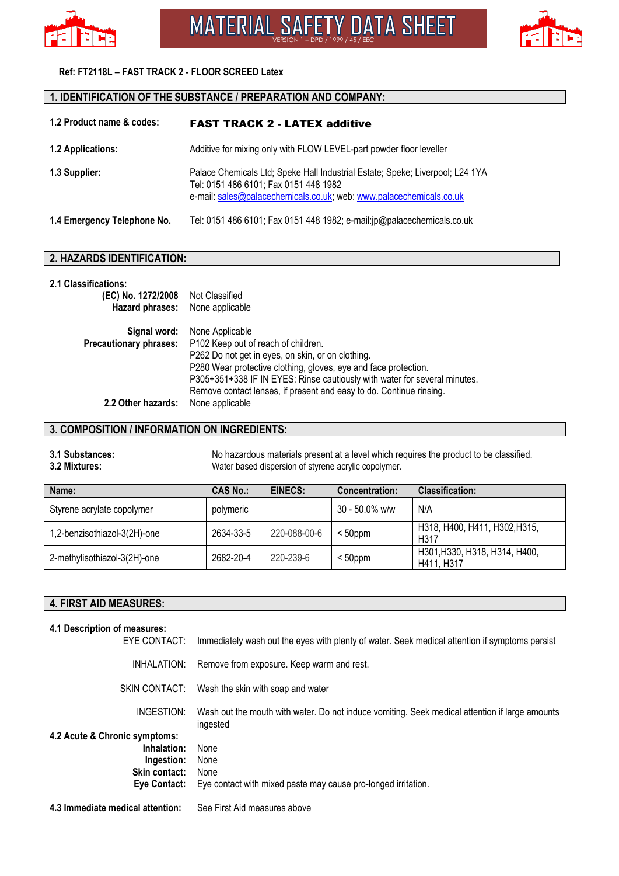



## **Ref: FT2118L – FAST TRACK 2 - FLOOR SCREED Latex**

# **1. IDENTIFICATION OF THE SUBSTANCE / PREPARATION AND COMPANY:**

| 1.2 Product name & codes:                                                                | <b>FAST TRACK 2 - LATEX additive</b>                                                                                                                                                          |  |
|------------------------------------------------------------------------------------------|-----------------------------------------------------------------------------------------------------------------------------------------------------------------------------------------------|--|
| Additive for mixing only with FLOW LEVEL-part powder floor leveller<br>1.2 Applications: |                                                                                                                                                                                               |  |
| 1.3 Supplier:                                                                            | Palace Chemicals Ltd; Speke Hall Industrial Estate; Speke; Liverpool; L24 1YA<br>Tel: 0151 486 6101; Fax 0151 448 1982<br>e-mail: sales@palacechemicals.co.uk; web: www.palacechemicals.co.uk |  |
| 1.4 Emergency Telephone No.                                                              | Tel: 0151 486 6101; Fax 0151 448 1982; e-mail:jp@palacechemicals.co.uk                                                                                                                        |  |

## **2. HAZARDS IDENTIFICATION:**

#### **2.1 Classifications:**

| (EC) No. 1272/2008 Not Classified |                                                                           |
|-----------------------------------|---------------------------------------------------------------------------|
| Hazard phrases:                   | None applicable                                                           |
| Signal word:                      | None Applicable                                                           |
| <b>Precautionary phrases:</b>     | P102 Keep out of reach of children.                                       |
|                                   | P262 Do not get in eyes, on skin, or on clothing.                         |
|                                   | P280 Wear protective clothing, gloves, eye and face protection.           |
|                                   | P305+351+338 IF IN EYES: Rinse cautiously with water for several minutes. |
|                                   | Remove contact lenses, if present and easy to do. Continue rinsing.       |
| 2.2 Other hazards:                | None applicable                                                           |

## **3. COMPOSITION / INFORMATION ON INGREDIENTS:**

## **3.1 Substances:** No hazardous materials present at a level which requires the product to be classified. **3.2 Mixtures:** Water based dispersion of styrene acrylic copolymer.

| Name:                        | <b>CAS No.:</b> | EINECS:      | <b>Concentration:</b> | <b>Classification:</b>                      |
|------------------------------|-----------------|--------------|-----------------------|---------------------------------------------|
| Styrene acrylate copolymer   | polymeric       |              | $30 - 50.0\%$ w/w     | N/A                                         |
| 1,2-benzisothiazol-3(2H)-one | 2634-33-5       | 220-088-00-6 | $< 50$ ppm            | H318, H400, H411, H302, H315,<br>H317       |
| 2-methylisothiazol-3(2H)-one | 2682-20-4       | 220-239-6    | $50ppm$               | H301, H330, H318, H314, H400,<br>H411, H317 |

# **4. FIRST AID MEASURES:**

| 4.1 Description of measures:<br>EYE CONTACT:                             | Immediately wash out the eyes with plenty of water. Seek medical attention if symptoms persist             |
|--------------------------------------------------------------------------|------------------------------------------------------------------------------------------------------------|
| INHALATION:                                                              | Remove from exposure. Keep warm and rest.                                                                  |
|                                                                          | SKIN CONTACT: Wash the skin with soap and water                                                            |
| INGESTION:<br>4.2 Acute & Chronic symptoms:                              | Wash out the mouth with water. Do not induce vomiting. Seek medical attention if large amounts<br>ingested |
| Inhalation:<br>Ingestion:<br><b>Skin contact:</b><br><b>Eve Contact:</b> | None<br>None<br>None<br>Eye contact with mixed paste may cause pro-longed irritation.                      |
| 4.3 Immediate medical attention:                                         | See First Aid measures above                                                                               |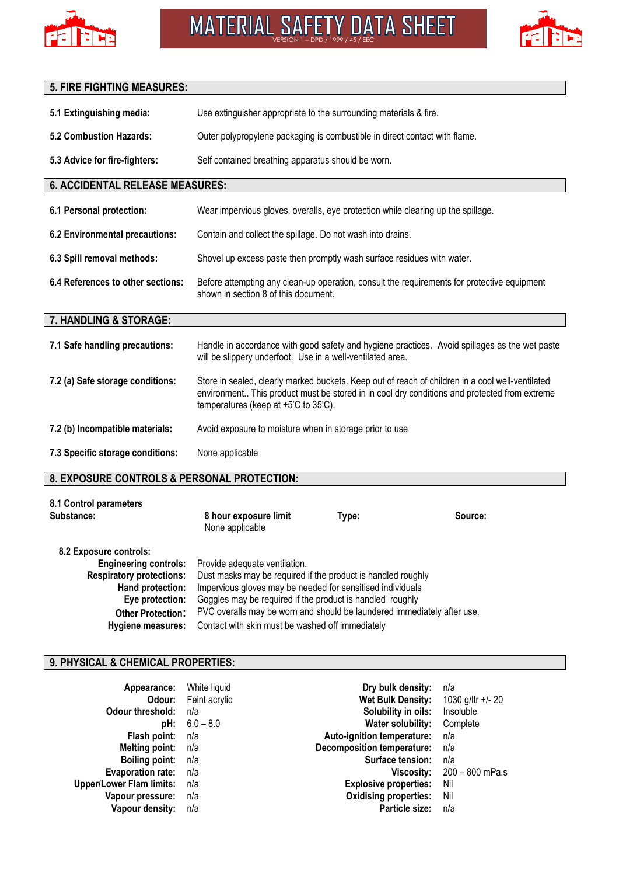



# **5. FIRE FIGHTING MEASURES: 5.1 Extinguishing media:** Use extinguisher appropriate to the surrounding materials & fire. **5.2 Combustion Hazards:** Outer polypropylene packaging is combustible in direct contact with flame. **5.3 Advice for fire-fighters:** Self contained breathing apparatus should be worn. **6. ACCIDENTAL RELEASE MEASURES: 6.1 Personal protection:** Wear impervious gloves, overalls, eye protection while clearing up the spillage. **6.2 Environmental precautions:** Contain and collect the spillage. Do not wash into drains. **6.3 Spill removal methods:** Shovel up excess paste then promptly wash surface residues with water. **6.4 References to other sections:** Before attempting any clean-up operation, consult the requirements for protective equipment shown in section 8 of this document. **7. HANDLING & STORAGE: 7.1 Safe handling precautions:** Handle in accordance with good safety and hygiene practices. Avoid spillages as the wet paste will be slippery underfoot. Use in a well-ventilated area. **7.2 (a) Safe storage conditions:** Store in sealed, clearly marked buckets. Keep out of reach of children in a cool well-ventilated environment.. This product must be stored in in cool dry conditions and protected from extreme temperatures (keep at +5'C to 35'C). **7.2 (b) Incompatible materials:** Avoid exposure to moisture when in storage prior to use **7.3 Specific storage conditions:** None applicable **8. EXPOSURE CONTROLS & PERSONAL PROTECTION:**

| 8.1 Control parameters<br>Substance: | 8 hour exposure limit<br>None applicable | Type: | Source: |
|--------------------------------------|------------------------------------------|-------|---------|
| 8.2 Exposure controls:               |                                          |       |         |

|                                 | <b>Engineering controls:</b> Provide adequate ventilation.              |
|---------------------------------|-------------------------------------------------------------------------|
| <b>Respiratory protections:</b> | Dust masks may be required if the product is handled roughly            |
| Hand protection:                | Impervious gloves may be needed for sensitised individuals              |
| Eye protection:                 | Goggles may be required if the product is handled roughly               |
| <b>Other Protection:</b>        | PVC overalls may be worn and should be laundered immediately after use. |
| Hygiene measures:               | Contact with skin must be washed off immediately                        |

## **9. PHYSICAL & CHEMICAL PROPERTIES:**

| Appearance:                     | White liquid  | Dry bulk density:                 | n/a               |
|---------------------------------|---------------|-----------------------------------|-------------------|
| Odour:                          | Feint acrylic | <b>Wet Bulk Density:</b>          | 1030 g/ltr +/- 20 |
| <b>Odour threshold:</b>         | n/a           | Solubility in oils:               | Insoluble         |
| pH:                             | $6.0 - 8.0$   | Water solubility:                 | Complete          |
| Flash point:                    | n/a           | Auto-ignition temperature:        | n/a               |
| <b>Melting point:</b>           | n/a           | <b>Decomposition temperature:</b> | n/a               |
| <b>Boiling point:</b>           | n/a           | Surface tension:                  | n/a               |
| <b>Evaporation rate:</b>        | n/a           | Viscosity:                        | 200 – 800 mPa.s   |
| <b>Upper/Lower Flam limits:</b> | n/a           | <b>Explosive properties:</b>      | Nil               |
| Vapour pressure:                | n/a           | <b>Oxidising properties:</b>      | Nil               |
| Vapour density:                 | n/a           | Particle size:                    | n/a               |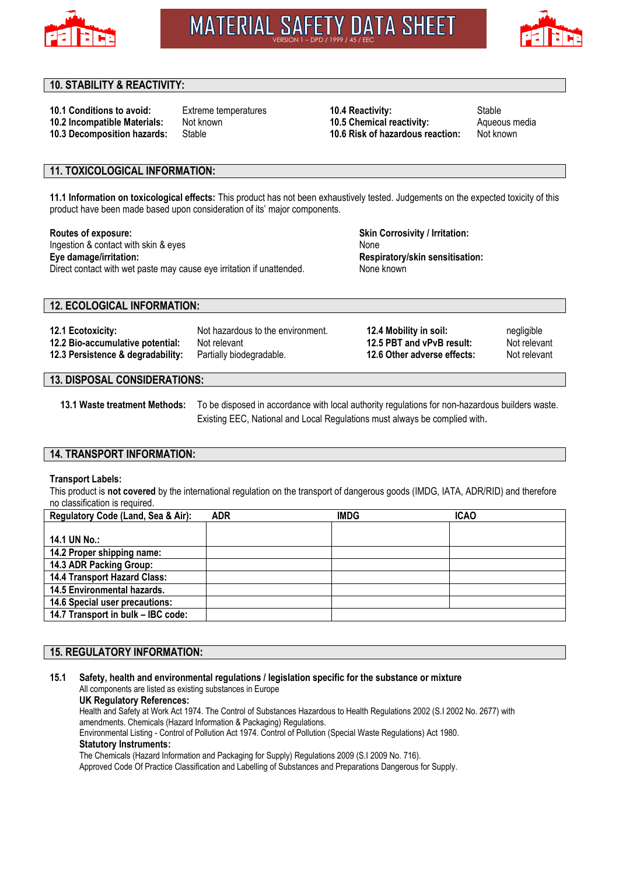

**MATERIAL SAFETY DATA SHEET** VERSION 1 – DPD / 1999 / 45 / EEC



## **10. STABILITY & REACTIVITY:**

**10.1 Conditions to avoid:** Extreme temperatures **10.4 Reactivity:** Stable **10.2 Incompatible Materials:** Not known **10.5 Chemical reactivity:** Aqueous media **10.3 Decomposition hazards:** Stable **10.6 Risk of hazardous reaction:** Not known

## **11. TOXICOLOGICAL INFORMATION:**

**11.1 Information on toxicological effects:** This product has not been exhaustively tested. Judgements on the expected toxicity of this product have been made based upon consideration of its' major components.

# **Routes of exposure:**

Ingestion & contact with skin & eyes **Eye damage/irritation:** Direct contact with wet paste may cause eye irritation if unattended. **Skin Corrosivity / Irritation:** None **Respiratory/skin sensitisation:** None known

## **12. ECOLOGICAL INFORMATION:**

| 12.1 Ecotoxicity:<br>Not hazardous to the environment.<br>12.2 Bio-accumulative potential:<br>Not relevant<br>12.3 Persistence & degradability:<br>Partially biodegradable. | 12.4 Mobility in soil:<br>12.5 PBT and vPvB result:<br>12.6 Other adverse effects: | negligible<br>Not relevant<br>Not relevant |
|-----------------------------------------------------------------------------------------------------------------------------------------------------------------------------|------------------------------------------------------------------------------------|--------------------------------------------|
|-----------------------------------------------------------------------------------------------------------------------------------------------------------------------------|------------------------------------------------------------------------------------|--------------------------------------------|

## **13. DISPOSAL CONSIDERATIONS:**

**13.1 Waste treatment Methods:** To be disposed in accordance with local authority regulations for non-hazardous builders waste. Existing EEC, National and Local Regulations must always be complied with.

#### **14. TRANSPORT INFORMATION:**

#### **Transport Labels:**

This product is **not covered** by the international regulation on the transport of dangerous goods (IMDG, IATA, ADR/RID) and therefore no classification is required.

| Regulatory Code (Land, Sea & Air):  | <b>ADR</b> | <b>IMDG</b> | <b>ICAO</b> |
|-------------------------------------|------------|-------------|-------------|
|                                     |            |             |             |
| 14.1 UN No.:                        |            |             |             |
| 14.2 Proper shipping name:          |            |             |             |
| 14.3 ADR Packing Group:             |            |             |             |
| <b>14.4 Transport Hazard Class:</b> |            |             |             |
| 14.5 Environmental hazards.         |            |             |             |
| 14.6 Special user precautions:      |            |             |             |
| 14.7 Transport in bulk - IBC code:  |            |             |             |

## **15. REGULATORY INFORMATION:**

#### **15.1 Safety, health and environmental regulations / legislation specific for the substance or mixture** All components are listed as existing substances in Europe **UK Regulatory References:**

Health and Safety at Work Act 1974. The Control of Substances Hazardous to Health Regulations 2002 (S.I 2002 No. 2677) with amendments. Chemicals (Hazard Information & Packaging) Regulations. Environmental Listing - Control of Pollution Act 1974. Control of Pollution (Special Waste Regulations) Act 1980. **Statutory Instruments:**

The Chemicals (Hazard Information and Packaging for Supply) Regulations 2009 (S.I 2009 No. 716). Approved Code Of Practice Classification and Labelling of Substances and Preparations Dangerous for Supply.